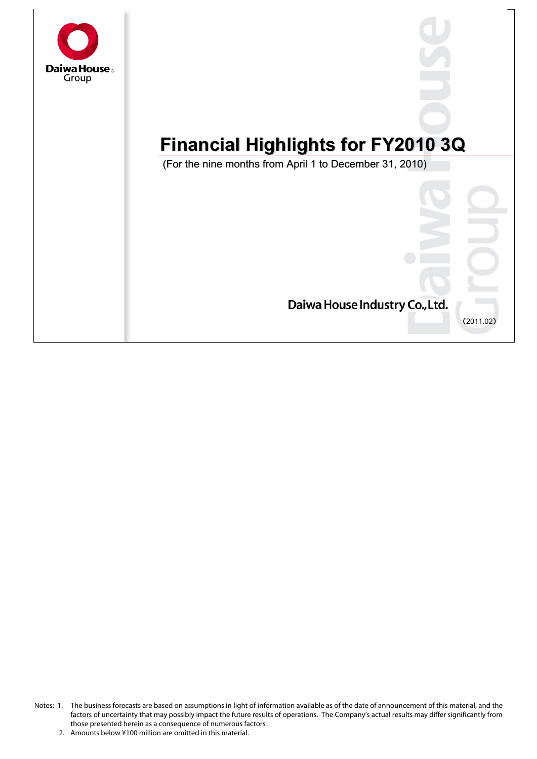

# **Financial Highlights for FY2010 3Q Financial Highlights for FY2010 3Q**

(For the nine months from April 1 to December 31, 2010) (For the nine months from April 1 to December 31, 2010)



Notes: 1. The business forecasts are based on assumptions in light of information available as of the date of announcement of this material, and the factors of uncertainty that may possibly impact the future results of operations. The Company's actual results may differ significantly from those presented herein as a consequence of numerous factors .

<sup>2.</sup> Amounts below ¥100 million are omitted in this material.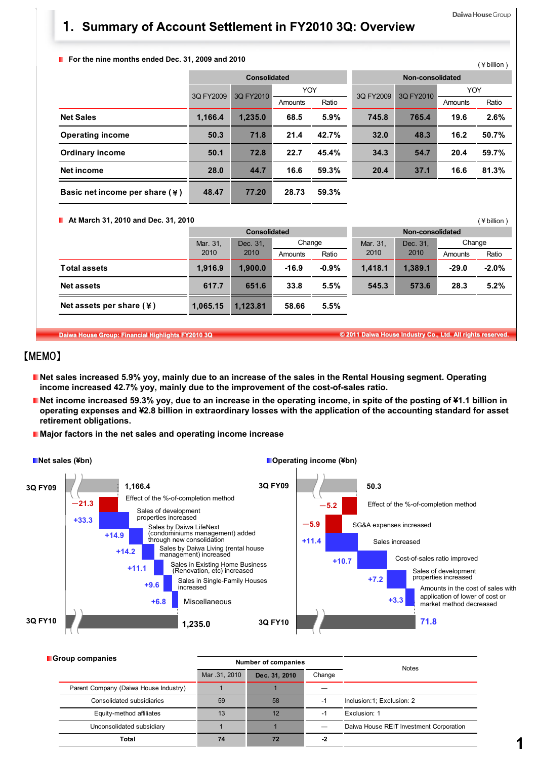$($  ¥ hillion )

(¥billion)

# 1**. Summary of Account Settlement in FY2010 3Q: Overview**

#### **F** For the nine months ended Dec. 31, 2009 and 2010

|                                            |           |              |            |       |                  |           |            | $\mathbf{z}$ |
|--------------------------------------------|-----------|--------------|------------|-------|------------------|-----------|------------|--------------|
|                                            |           | Consolidated |            |       | Non-consolidated |           |            |              |
|                                            | 3Q FY2009 | 3Q FY2010    | <b>YOY</b> |       | 3Q FY2009        | 3Q FY2010 | <b>YOY</b> |              |
|                                            |           |              | Amounts    | Ratio |                  |           | Amounts    | Ratio        |
| <b>Net Sales</b>                           | 1,166.4   | 1,235.0      | 68.5       | 5.9%  | 745.8            | 765.4     | 19.6       | 2.6%         |
| <b>Operating income</b>                    | 50.3      | 71.8         | 21.4       | 42.7% | 32.0             | 48.3      | 16.2       | 50.7%        |
| <b>Ordinary income</b>                     | 50.1      | 72.8         | 22.7       | 45.4% | 34.3             | 54.7      | 20.4       | 59.7%        |
| Net income                                 | 28.0      | 44.7         | 16.6       | 59.3% | 20.4             | 37.1      | 16.6       | 81.3%        |
| Basic net income per share $(\frac{1}{2})$ | 48.47     | 77.20        | 28.73      | 59.3% |                  |           |            |              |

**At March 31, 2010 and Dec. 31, 2010**

|                                      |          | <b>Consolidated</b> |         |         | Non-consolidated |          |         |          |
|--------------------------------------|----------|---------------------|---------|---------|------------------|----------|---------|----------|
|                                      | Mar. 31, | Dec. 31.            |         | Change  |                  | Dec. 31. | Change  |          |
|                                      | 2010     | 2010                | Amounts | Ratio   | 2010             | 2010     | Amounts | Ratio    |
| <b>Total assets</b>                  | 1,916.9  | 1.900.0             | $-16.9$ | $-0.9%$ | 1.418.1          | 1.389.1  | $-29.0$ | $-2.0\%$ |
| <b>Net assets</b>                    | 617.7    | 651.6               | 33.8    | 5.5%    | 545.3            | 573.6    | 28.3    | 5.2%     |
| Net assets per share $(\frac{1}{2})$ | 1.065.15 | 1.123.81            | 58.66   | 5.5%    |                  |          |         |          |

**Daiwa House Group: Financial Highlights FY2010 3Q © 2011 Daiwa House Industry Co., Ltd. All rights reserved.**

# 【MEMO】

Ĕ

- **Net sales increased 5.9% yoy, mainly due to an increase of the sales in the Rental Housing segment. Operating income increased 42.7% yoy, mainly due to the improvement of the cost-of-sales ratio.**
- Net income increased 59.3% yoy, due to an increase in the operating income, in spite of the posting of ¥1.1 billion in **operating expenses and ¥2.8 billion in extraordinary losses with the application of the accounting standard for asset retirement obligations.**
- **Major factors in the net sales and operating income increase**



| <b>Group companies</b>                |               | <b>Number of companies</b> | <b>Notes</b> |                                         |  |  |
|---------------------------------------|---------------|----------------------------|--------------|-----------------------------------------|--|--|
|                                       | Mar .31, 2010 | Dec. 31, 2010              | Change       |                                         |  |  |
| Parent Company (Daiwa House Industry) |               |                            |              |                                         |  |  |
| Consolidated subsidiaries             | 59            | 58                         | -1           | Inclusion: 1; Exclusion: 2              |  |  |
| Equity-method affiliates              | 13            | 12                         | -            | Exclusion: 1                            |  |  |
| Unconsolidated subsidiary             |               |                            |              | Daiwa House REIT Investment Corporation |  |  |
| Total                                 | 74            | 72                         | -2           |                                         |  |  |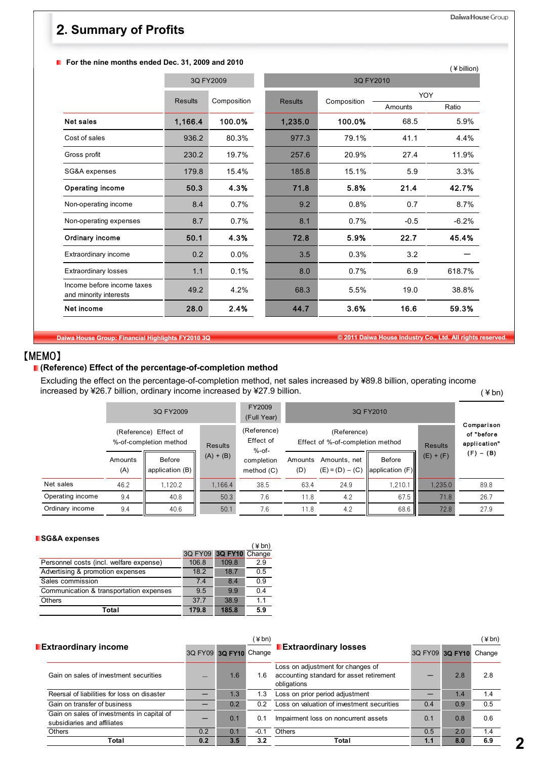**F** For the nine months ended Dec. 31, 2009 and 2010

| For the nine months ended Dec. 31, 2009 and 2010     |                |             |                |             |            | (¥ billion) |
|------------------------------------------------------|----------------|-------------|----------------|-------------|------------|-------------|
|                                                      |                | 3Q FY2009   |                | 3Q FY2010   |            |             |
|                                                      | <b>Results</b> | Composition | <b>Results</b> | Composition | <b>YOY</b> |             |
|                                                      |                |             |                |             | Amounts    | Ratio       |
| <b>Net sales</b>                                     | 1,166.4        | 100.0%      | 1,235.0        | 100.0%      | 68.5       | 5.9%        |
| Cost of sales                                        | 936.2          | 80.3%       | 977.3          | 79.1%       | 41.1       | 4.4%        |
| Gross profit                                         | 230.2          | 19.7%       | 257.6          | 20.9%       | 27.4       | 11.9%       |
| SG&A expenses                                        | 179.8          | 15.4%       | 185.8          | 15.1%       | 5.9        | 3.3%        |
| Operating income                                     | 50.3           | 4.3%        | 71.8           | 5.8%        | 21.4       | 42.7%       |
| Non-operating income                                 | 8.4            | 0.7%        | 9.2            | 0.8%        | 0.7        | 8.7%        |
| Non-operating expenses                               | 8.7            | 0.7%        | 8.1            | 0.7%        | $-0.5$     | $-6.2%$     |
| Ordinary income                                      | 50.1           | 4.3%        | 72.8           | 5.9%        | 22.7       | 45.4%       |
| Extraordinary income                                 | 0.2            | $0.0\%$     | 3.5            | 0.3%        | 3.2        |             |
| <b>Extraordinary losses</b>                          | 1.1            | 0.1%        | 8.0            | 0.7%        | 6.9        | 618.7%      |
| Income before income taxes<br>and minority interests | 49.2           | 4.2%        | 68.3           | 5.5%        | 19.0       | 38.8%       |
| Net income                                           | 28.0           | 2.4%        | 44.7           | 3.6%        | 16.6       | 59.3%       |

Daiwa House Group

**Daiwa House Group: Financial Highlights FY2010 3Q © 2011 Daiwa House Industry Co., Ltd. All rights reserved.**

# 【MEMO】

## **(Reference) Effect of the percentage-of-completion method**

 $($  ¥ bn) Excluding the effect on the percentage-of-completion method, net sales increased by ¥89.8 billion, operating income increased by ¥26.7 billion, ordinary income increased by ¥27.9 billion.

|                  |                                                 | 3Q FY2009                   | FY2009<br>(Full Year) |                                      |                |                                                 |                           |                                          |             |
|------------------|-------------------------------------------------|-----------------------------|-----------------------|--------------------------------------|----------------|-------------------------------------------------|---------------------------|------------------------------------------|-------------|
|                  | (Reference) Effect of<br>%-of-completion method |                             | Results               | (Reference)<br>Effect of<br>$%$ -of- |                | (Reference)<br>Effect of %-of-completion method | <b>Results</b>            | Comparison<br>of "before<br>application" |             |
|                  | Amounts<br>(A)                                  | Before<br>application $(B)$ | $(A) + (B)$           | completion<br>method $(C)$           | Amounts<br>(D) | Amounts, net<br>$(E) = (D) - (C)$               | Before<br>application (F) | $(E) + (F)$                              | $(F) - (B)$ |
| Net sales        | 46.2                                            | 1.120.2                     | 1.166.4               | 38.5                                 | 63.4           | 24.9                                            | 1.210.1                   | 1.235.0                                  | 89.8        |
| Operating income | 9.4                                             | 40.8                        | 50.3                  | 7.6                                  | 11.8           | 4.2                                             | 67.5                      | 71.8                                     | 26.7        |
| Ordinary income  | 9.4                                             | 40.6                        | 50.1                  | 7.6                                  | 11.8           | 4.2                                             | 68.6                      | 72.8                                     | 27.9        |

#### **SG&A expenses**

| <b>POQUA CANGIISES</b>                  |       |                        |       |
|-----------------------------------------|-------|------------------------|-------|
|                                         |       |                        | (¥bn) |
|                                         |       | 3Q FY09 3Q FY10 Change |       |
| Personnel costs (incl. welfare expense) | 106.8 | 109.8                  | 2.9   |
| Advertising & promotion expenses        | 18.2  | 18.7                   | 0.5   |
| Sales commission                        | 74    | 8.4                    | 0.9   |
| Communication & transportation expenses | 9.5   | 9.9                    | 0.4   |
| <b>Others</b>                           | 37.7  | 38.9                   | 11    |
| Total                                   | 179.8 | 185.8                  | 5.9   |

|                                                                           |                                                                                                            |                        | (¥bn)  |                                            | (¥bn) |                 |        |  |
|---------------------------------------------------------------------------|------------------------------------------------------------------------------------------------------------|------------------------|--------|--------------------------------------------|-------|-----------------|--------|--|
| <b>Extraordinary income</b>                                               |                                                                                                            | 3Q FY09 3Q FY10 Change |        | <b>Extraordinary losses</b>                |       | 3Q FY09 3Q FY10 | Change |  |
| Gain on sales of investment securities                                    | Loss on adjustment for changes of<br>accounting standard for asset retirement<br>1.6<br>1.6<br>obligations |                        |        | 2.8                                        | 2.8   |                 |        |  |
| Reersal of liabilities for loss on disaster                               |                                                                                                            | 1.3                    | 1.3    | Loss on prior period adjustment            |       | 1.4             | 1.4    |  |
| Gain on transfer of business                                              |                                                                                                            | 0.2                    | 0.2    | Loss on valuation of investment securities | 0.4   | 0.9             | 0.5    |  |
| Gain on sales of investments in capital of<br>subsidiaries and affiliates |                                                                                                            | 0.1                    | 0.1    | Impairment loss on noncurrent assets       | 0.1   | 0.8             | 0.6    |  |
| Others                                                                    | 0.2                                                                                                        | 0.1                    | $-0.1$ | <b>Others</b>                              | 0.5   | 2.0             | 1.4    |  |
| Total                                                                     | 0.2                                                                                                        | 3.5                    | 3.2    | Total                                      | 1.1   | 8.0             | 6.9    |  |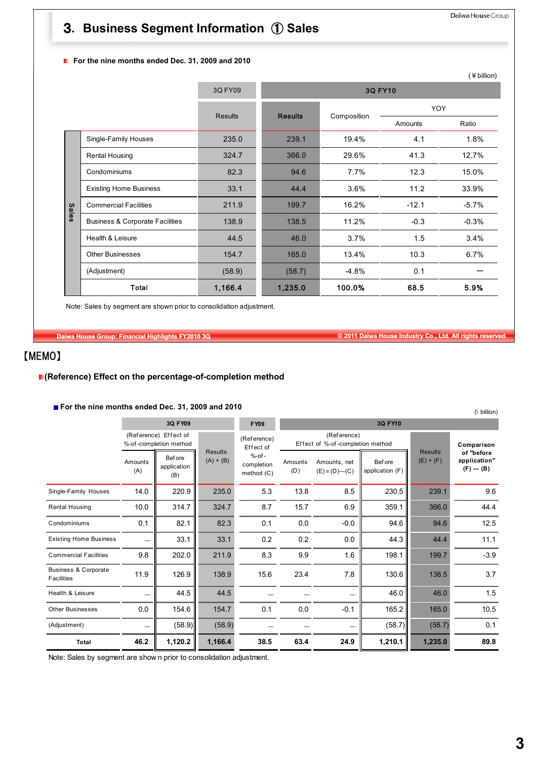# 3**. Business Segment Information** ① **Sales**

#### **F** For the nine months ended Dec. 31, 2009 and 2010

|              |                                            |                |                |                |         | (¥ billion) |
|--------------|--------------------------------------------|----------------|----------------|----------------|---------|-------------|
|              |                                            | 3Q FY09        |                | <b>3Q FY10</b> |         |             |
|              |                                            |                |                |                | YOY     |             |
|              |                                            | <b>Results</b> | <b>Results</b> | Composition    | Amounts | Ratio       |
|              | Single-Family Houses                       | 235.0          | 239.1          | 19.4%          | 4.1     | 1.8%        |
|              | <b>Rental Housing</b>                      | 324.7          | 366.0          | 29.6%          | 41.3    | 12.7%       |
|              | Condominiums                               | 82.3           | 94.6           | 7.7%           | 12.3    | 15.0%       |
|              | <b>Existing Home Business</b>              | 33.1           | 44.4           | 3.6%           | 11.2    | 33.9%       |
| <b>Sales</b> | <b>Commercial Facilities</b>               | 211.9          | 199.7          | 16.2%          | $-12.1$ | $-5.7%$     |
|              | <b>Business &amp; Corporate Facilities</b> | 138.9          | 138.5          | 11.2%          | $-0.3$  | $-0.3%$     |
|              | Health & Leisure                           | 44.5           | 46.0           | 3.7%           | 1.5     | 3.4%        |
|              | <b>Other Businesses</b>                    | 154.7          | 165.0          | 13.4%          | 10.3    | 6.7%        |
|              | (Adjustment)                               | (58.9)         | (58.7)         | $-4.8%$        | 0.1     |             |
|              | Total                                      | 1,166.4        | 1,235.0        | 100.0%         | 68.5    | 5.9%        |

Note: Sales by segment are shown prior to consolidation adjustment.

**Daiwa House Group: Financial Highlights FY2010 3Q © 2011 Daiwa House Industry Co., Ltd. All rights reserved.**

# 【MEMO】

## **(Reference) Effect on the percentage-of-completion method**

## **For the nine months ended Dec. 31, 2009 and 2010**

|                                                      | <b>For the nine months ended Dec. 31, 2009 and 2010</b><br>(\ billion) |                                                 |                               |                                        |                |                                                 |                            |                               |                                             |  |
|------------------------------------------------------|------------------------------------------------------------------------|-------------------------------------------------|-------------------------------|----------------------------------------|----------------|-------------------------------------------------|----------------------------|-------------------------------|---------------------------------------------|--|
|                                                      |                                                                        | 3Q FY09                                         |                               | <b>FY09</b>                            |                |                                                 | 3Q FY10                    |                               |                                             |  |
|                                                      |                                                                        | (Reference) Effect of<br>%-of-completion method |                               | (Reference)<br>Effect of               |                | (Reference)<br>Effect of %-of-completion method |                            |                               | Comparison                                  |  |
|                                                      | Amounts<br>(A)                                                         | <b>Before</b><br>application<br>(B)             | <b>Results</b><br>$(A) + (B)$ | $%$ -of-<br>completion<br>method $(C)$ | Amounts<br>(D) | Amounts, net<br>$(E) = (D)$ — $(C)$             | Bef ore<br>application (F) | <b>Results</b><br>$(E) + (F)$ | of "before<br>application"<br>$(F)$ — $(B)$ |  |
| Single-Family Houses                                 | 14.0                                                                   | 220.9                                           | 235.0                         | 5.3                                    | 13.8           | 8.5                                             | 230.5                      | 239.1                         | 9.6                                         |  |
| <b>Rental Housing</b>                                | 10.0                                                                   | 314.7                                           | 324.7                         | 8.7                                    | 15.7           | 6.9                                             | 359.1                      | 366.0                         | 44.4                                        |  |
| Condominiums                                         | 0.1                                                                    | 82.1                                            | 82.3                          | 0.1                                    | 0.0            | $-0.0$                                          | 94.6                       | 94.6                          | 12.5                                        |  |
| <b>Existing Home Business</b>                        |                                                                        | 33.1                                            | 33.1                          | 0.2                                    | 0.2            | 0.0                                             | 44.3                       | 44.4                          | 11.1                                        |  |
| <b>Commercial Facilities</b>                         | 9.8                                                                    | 202.0                                           | 211.9                         | 8.3                                    | 9.9            | 1.6                                             | 198.1                      | 199.7                         | $-3.9$                                      |  |
| <b>Business &amp; Corporate</b><br><b>Facilities</b> | 11.9                                                                   | 126.9                                           | 138.9                         | 15.6                                   | 23.4           | 7.8                                             | 130.6                      | 138.5                         | 3.7                                         |  |
| Health & Leisure                                     |                                                                        | 44.5                                            | 44.5                          |                                        |                |                                                 | 46.0                       | 46.0                          | 1.5                                         |  |
| <b>Other Businesses</b>                              | 0.0                                                                    | 154.6                                           | 154.7                         | 0.1                                    | 0.0            | $-0.1$                                          | 165.2                      | 165.0                         | 10.5                                        |  |
| (Adjustment)                                         | $\overline{\phantom{0}}$                                               | (58.9)                                          | (58.9)                        |                                        |                |                                                 | (58.7)                     | (58.7)                        | 0.1                                         |  |
| Total                                                | 46.2                                                                   | 1,120.2                                         | 1,166.4                       | 38.5                                   | 63.4           | 24.9                                            | 1,210.1                    | 1,235.0                       | 89.8                                        |  |

Note: Sales by segment are show n prior to consolidation adjustment.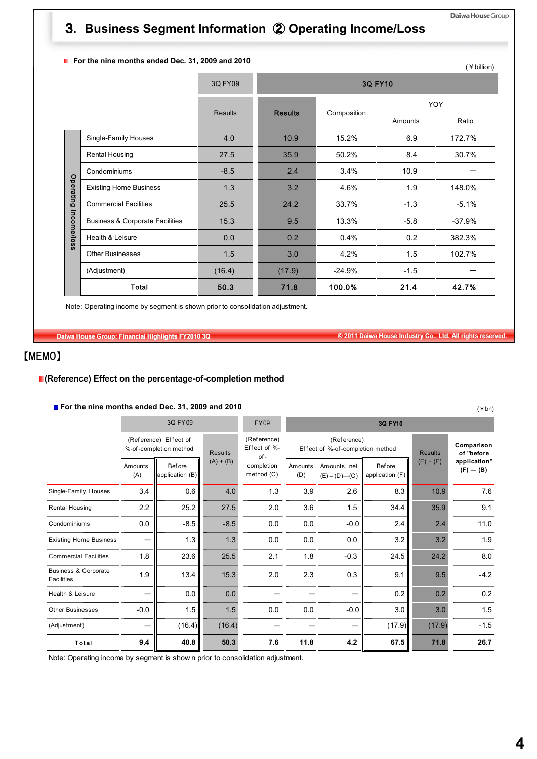# 3**. Business Segment Information** ② **Operating Income/Loss**

## **F** For the nine months ended Dec. 31, 2009 and 2010

|             | For the fillie months ended Dec. 31, 2009 and 2010 |                |                |                |         | (¥ billion) |
|-------------|----------------------------------------------------|----------------|----------------|----------------|---------|-------------|
|             |                                                    | 3Q FY09        |                | <b>3Q FY10</b> |         |             |
|             |                                                    | <b>Results</b> | <b>Results</b> | Composition    |         | YOY         |
|             |                                                    |                |                |                | Amounts | Ratio       |
|             | Single-Family Houses                               | 4.0            | 10.9           | 15.2%          | 6.9     | 172.7%      |
|             | <b>Rental Housing</b>                              | 27.5           | 35.9           | 50.2%          | 8.4     | 30.7%       |
|             | Condominiums                                       | $-8.5$         | 2.4            | 3.4%           | 10.9    |             |
| Operating   | <b>Existing Home Business</b>                      | 1.3            | 3.2            | 4.6%           | 1.9     | 148.0%      |
|             | <b>Commercial Facilities</b>                       | 25.5           | 24.2           | 33.7%          | $-1.3$  | $-5.1%$     |
| income/loss | <b>Business &amp; Corporate Facilities</b>         | 15.3           | 9.5            | 13.3%          | $-5.8$  | $-37.9%$    |
|             | Health & Leisure                                   | 0.0            | 0.2            | 0.4%           | 0.2     | 382.3%      |
|             | Other Businesses                                   | 1.5            | 3.0            | 4.2%           | 1.5     | 102.7%      |
|             | (Adjustment)                                       | (16.4)         | (17.9)         | $-24.9%$       | $-1.5$  |             |
|             | Total                                              | 50.3           | 71.8           | 100.0%         | 21.4    | 42.7%       |

Note: Operating income by segment is shown prior to consolidation adjustment.

**Daiwa House Group: Financial Highlights FY2010 3Q © 2011 Daiwa House Industry Co., Ltd. All rights reserved.**

# 【MEMO】

#### **(Reference) Effect on the percentage-of-completion method**

#### **For the nine months ended Dec. 31, 2009 and 2010**

|                                               | $\blacksquare$ For the nine months ended Dec. 31, 2009 and 2010<br>$(*bn)$                              |                           |                                                                   |                            |                |                                     |                                  |             |                               |  |  |
|-----------------------------------------------|---------------------------------------------------------------------------------------------------------|---------------------------|-------------------------------------------------------------------|----------------------------|----------------|-------------------------------------|----------------------------------|-------------|-------------------------------|--|--|
|                                               |                                                                                                         | 3Q FY09                   |                                                                   | <b>FY09</b>                |                | 3Q FY10                             |                                  |             |                               |  |  |
|                                               | (Reference)<br>(Reference) Effect of<br>Effect of %-<br>%-of-completion method<br><b>Results</b><br>of- |                           | (Reference)<br>Effect of %-of-completion method<br><b>Results</b> |                            |                | Comparison<br>of "before            |                                  |             |                               |  |  |
|                                               | Amounts<br>(A)                                                                                          | Before<br>application (B) | $(A) + (B)$                                                       | completion<br>method $(C)$ | Amounts<br>(D) | Amounts, net<br>$(E) = (D)$ — $(C)$ | <b>Before</b><br>application (F) | $(E) + (F)$ | application"<br>$(F)$ — $(B)$ |  |  |
| Single-Family Houses                          | 3.4                                                                                                     | 0.6                       | 4.0                                                               | 1.3                        | 3.9            | 2.6                                 | 8.3                              | 10.9        | 7.6                           |  |  |
| <b>Rental Housing</b>                         | 2.2                                                                                                     | 25.2                      | 27.5                                                              | 2.0                        | 3.6            | 1.5                                 | 34.4                             | 35.9        | 9.1                           |  |  |
| Condominiums                                  | 0.0                                                                                                     | $-8.5$                    | $-8.5$                                                            | 0.0                        | 0.0            | $-0.0$                              | 2.4                              | 2.4         | 11.0                          |  |  |
| <b>Existing Home Business</b>                 |                                                                                                         | 1.3                       | 1.3                                                               | 0.0                        | 0.0            | 0.0                                 | 3.2                              | 3.2         | 1.9                           |  |  |
| <b>Commercial Facilities</b>                  | 1.8                                                                                                     | 23.6                      | 25.5                                                              | 2.1                        | 1.8            | $-0.3$                              | 24.5                             | 24.2        | 8.0                           |  |  |
| <b>Business &amp; Corporate</b><br>Facilities | 1.9                                                                                                     | 13.4                      | 15.3                                                              | 2.0                        | 2.3            | 0.3                                 | 9.1                              | 9.5         | $-4.2$                        |  |  |
| Health & Leisure                              |                                                                                                         | 0.0                       | 0.0                                                               |                            |                |                                     | 0.2                              | 0.2         | 0.2                           |  |  |
| <b>Other Businesses</b>                       | $-0.0$                                                                                                  | 1.5                       | 1.5                                                               | 0.0                        | 0.0            | $-0.0$                              | 3.0                              | 3.0         | 1.5                           |  |  |
| (Adjustment)                                  |                                                                                                         | (16.4)                    | (16.4)                                                            |                            |                |                                     | (17.9)                           | (17.9)      | $-1.5$                        |  |  |
| Total                                         | 9.4                                                                                                     | 40.8                      | 50.3                                                              | 7.6                        | 11.8           | 4.2                                 | 67.5                             | 71.8        | 26.7                          |  |  |

Note: Operating income by segment is show n prior to consolidation adjustment.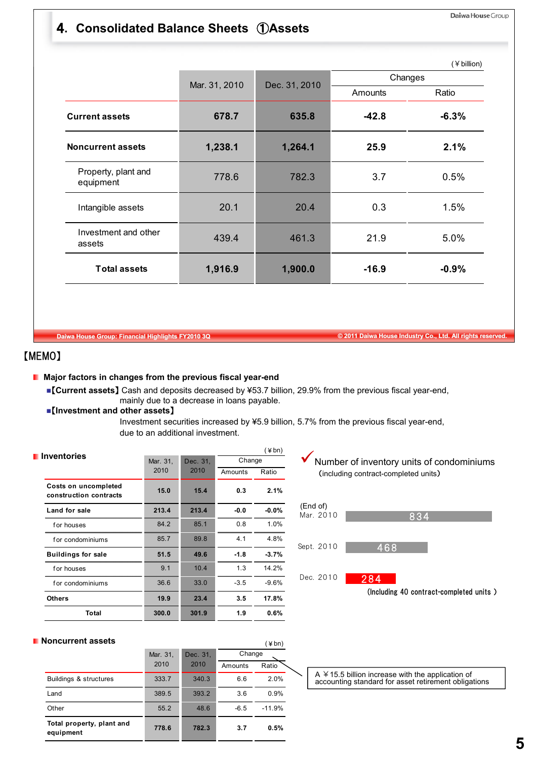# 4**. Consolidated Balance Sheets** ①**Assets**

|                                  |               |               |         | (¥ billion) |
|----------------------------------|---------------|---------------|---------|-------------|
|                                  | Mar. 31, 2010 | Dec. 31, 2010 | Changes |             |
|                                  |               |               | Amounts | Ratio       |
| <b>Current assets</b>            | 678.7         | 635.8         | $-42.8$ | $-6.3%$     |
| <b>Noncurrent assets</b>         | 1,238.1       | 1,264.1       | 25.9    | 2.1%        |
| Property, plant and<br>equipment | 778.6         | 782.3         | 3.7     | 0.5%        |
| Intangible assets                | 20.1          | 20.4          | 0.3     | 1.5%        |
| Investment and other<br>assets   | 439.4         | 461.3         | 21.9    | 5.0%        |
| <b>Total assets</b>              | 1,916.9       | 1,900.0       | $-16.9$ | $-0.9%$     |

**Daiwa House Group: Financial Highlights FY2010 3Q © 2011 Daiwa House Industry Co., Ltd. All rights reserved.**

# 【MEMO】

п

### **Major factors in changes from the previous fiscal year-end**

- 【**Current assets**】 Cash and deposits decreased by ¥53.7 billion, 29.9% from the previous fiscal year-end, mainly due to a decrease in loans payable.
- 【**Investment and other assets**】

Investment securities increased by ¥5.9 billion, 5.7% from the previous fiscal year-end, due to an additional investment.

|                                                |          |          |         | $(\n  4 bn)$ |  |
|------------------------------------------------|----------|----------|---------|--------------|--|
| <b>Inventories</b>                             | Mar. 31, | Dec. 31, | Change  |              |  |
|                                                | 2010     | 2010     | Amounts | Ratio        |  |
| Costs on uncompleted<br>construction contracts | 15.0     | 15.4     | 0.3     | 2.1%         |  |
| Land for sale                                  | 213.4    | 213.4    | $-0.0$  | $-0.0%$      |  |
| for houses                                     | 84.2     | 85.1     | 0.8     | $1.0\%$      |  |
| for condominiums                               | 85.7     | 89.8     | 4.1     | 4.8%         |  |
| <b>Buildings for sale</b>                      | 51.5     | 49.6     | $-1.8$  | $-3.7%$      |  |
| for houses                                     | 9.1      | 10.4     | 1.3     | 14.2%        |  |
| for condominiums                               | 36.6     | 33.0     | $-3.5$  | $-9.6%$      |  |
| <b>Others</b>                                  | 19.9     | 23.4     | 3.5     | 17.8%        |  |
| Total                                          | 300.0    | 301.9    | 1.9     | 0.6%         |  |
|                                                |          |          |         |              |  |





#### **Noncurrent assets**

| oncurrent assets                       |          |          |         | (¥bn)    |
|----------------------------------------|----------|----------|---------|----------|
|                                        | Mar. 31, | Dec. 31, | Change  |          |
|                                        | 2010     | 2010     | Amounts | Ratio    |
| Buildings & structures                 | 333.7    | 340.3    | 6.6     | 2.0%     |
| Land                                   | 389.5    | 393.2    | 3.6     | 0.9%     |
| Other                                  | 55.2     | 48.6     | $-6.5$  | $-11.9%$ |
| Total property, plant and<br>equipment | 778.6    | 782.3    | 3.7     | 0.5%     |

A ¥15.5 billion increase with the application of accounting standard for asset retirement obligations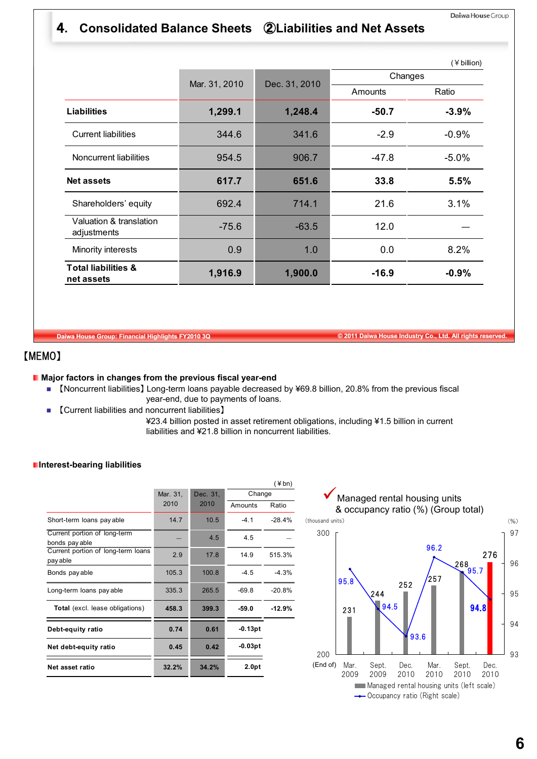# 4**. Consolidated Balance Sheets** ②**Liabilities and Net Assets**

|                                              |               |               |                | (¥ billion) |
|----------------------------------------------|---------------|---------------|----------------|-------------|
|                                              | Mar. 31, 2010 | Dec. 31, 2010 | Changes        |             |
|                                              |               |               | <b>Amounts</b> | Ratio       |
| <b>Liabilities</b>                           | 1,299.1       | 1,248.4       | $-50.7$        | $-3.9%$     |
| <b>Current liabilities</b>                   | 344.6         | 341.6         | $-2.9$         | $-0.9%$     |
| Noncurrent liabilities                       | 954.5         | 906.7         | $-47.8$        | $-5.0%$     |
| <b>Net assets</b>                            | 617.7         | 651.6         | 33.8           | 5.5%        |
| Shareholders' equity                         | 692.4         | 714.1         | 21.6           | 3.1%        |
| Valuation & translation<br>adjustments       | $-75.6$       | $-63.5$       | 12.0           |             |
| Minority interests                           | 0.9           | 1.0           | 0.0            | 8.2%        |
| <b>Total liabilities &amp;</b><br>net assets | 1,916.9       | 1,900.0       | $-16.9$        | $-0.9%$     |

**Daiwa House Group: Financial Highlights FY2010 3Q © 2011 Daiwa House Industry Co., Ltd. All rights reserved.**

# 【MEMO】

#### **Major factors in changes from the previous fiscal year-end**

- 【Noncurrent liabilities】 Long-term loans payable decreased by ¥69.8 billion, 20.8% from the previous fiscal year-end, due to payments of loans.
- 【Current liabilities and noncurrent liabilities】
	- ¥23.4 billion posted in asset retirement obligations, including ¥1.5 billion in current liabilities and ¥21.8 billion in noncurrent liabilities.

#### **Interest-bearing liabilities**

|                                                |          |          |           | $(*bn)$  |
|------------------------------------------------|----------|----------|-----------|----------|
|                                                | Mar. 31, | Dec. 31, | Change    |          |
|                                                | 2010     | 2010     | Amounts   | Ratio    |
| Short-term loans pay able                      | 14.7     | 10.5     | $-41$     | $-28.4%$ |
| Current portion of long-term<br>bonds pay able |          | 4.5      | 4.5       |          |
| Current portion of long-term loans<br>pay able | 2.9      | 17.8     | 14.9      | 515.3%   |
| Bonds pay able                                 | 105.3    | 100.8    | $-4.5$    | $-4.3%$  |
| Long-term loans pay able                       | 335.3    | 265.5    | $-69.8$   | $-20.8%$ |
| Total (excl. lease obligations)                | 458.3    | 399.3    | $-59.0$   | $-12.9%$ |
| Debt-equity ratio                              | 0.74     | 0.61     | -0.13pt   |          |
| Net debt-equity ratio                          | 0.45     | 0.42     | $-0.03pt$ |          |
| Net asset ratio                                | 32.2%    | 34.2%    | 2.0pt     |          |
|                                                |          |          |           |          |

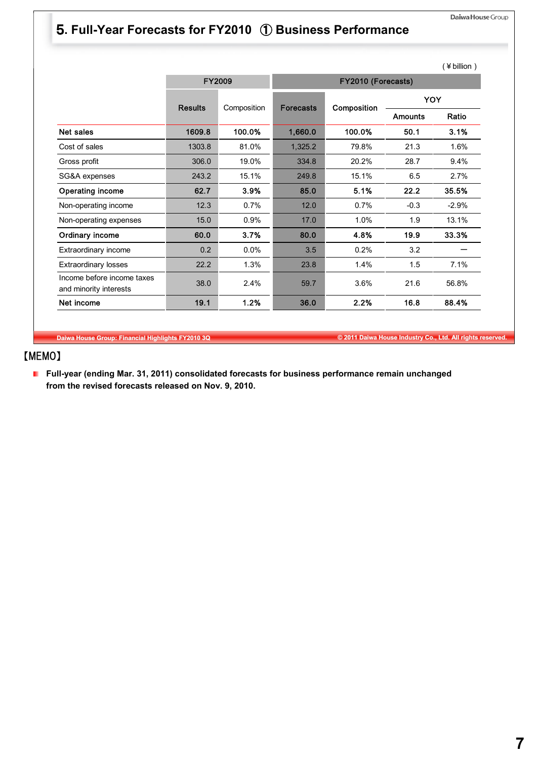# 5**. Full-Year Forecasts for FY2010** ① **Business Performance**

|                                                      |                |               |                  |                    |                | (¥ billion) |  |  |
|------------------------------------------------------|----------------|---------------|------------------|--------------------|----------------|-------------|--|--|
|                                                      |                | <b>FY2009</b> |                  | FY2010 (Forecasts) |                |             |  |  |
|                                                      | <b>Results</b> |               | <b>Forecasts</b> |                    | <b>YOY</b>     |             |  |  |
|                                                      |                | Composition   |                  | Composition        | <b>Amounts</b> | Ratio       |  |  |
| Net sales                                            | 1609.8         | 100.0%        | 1,660.0          | 100.0%             | 50.1           | 3.1%        |  |  |
| Cost of sales                                        | 1303.8         | 81.0%         | 1,325.2          | 79.8%              | 21.3           | 1.6%        |  |  |
| Gross profit                                         | 306.0          | 19.0%         | 334.8            | 20.2%              | 28.7           | 9.4%        |  |  |
| SG&A expenses                                        | 243.2          | 15.1%         | 249.8            | 15.1%              | 6.5            | 2.7%        |  |  |
| Operating income                                     | 62.7           | 3.9%          | 85.0             | 5.1%               | 22.2           | 35.5%       |  |  |
| Non-operating income                                 | 12.3           | 0.7%          | 12.0             | 0.7%               | $-0.3$         | $-2.9%$     |  |  |
| Non-operating expenses                               | 15.0           | 0.9%          | 17.0             | 1.0%               | 1.9            | 13.1%       |  |  |
| Ordinary income                                      | 60.0           | 3.7%          | 80.0             | 4.8%               | 19.9           | 33.3%       |  |  |
| Extraordinary income                                 | 0.2            | 0.0%          | 3.5              | 0.2%               | 3.2            |             |  |  |
| <b>Extraordinary losses</b>                          | 22.2           | 1.3%          | 23.8             | 1.4%               | 1.5            | 7.1%        |  |  |
| Income before income taxes<br>and minority interests | 38.0           | 2.4%          | 59.7             | 3.6%               | 21.6           | 56.8%       |  |  |
| Net income                                           | 19.1           | 1.2%          | 36.0             | 2.2%               | 16.8           | 88.4%       |  |  |

**Daiwa House Group: Financial Highlights FY2010 3Q © 2011 Daiwa House Industry Co., Ltd. All rights reserved.**

# 【MEMO】

**Full-year (ending Mar. 31, 2011) consolidated forecasts for business performance remain unchanged from the revised forecasts released on Nov. 9, 2010.**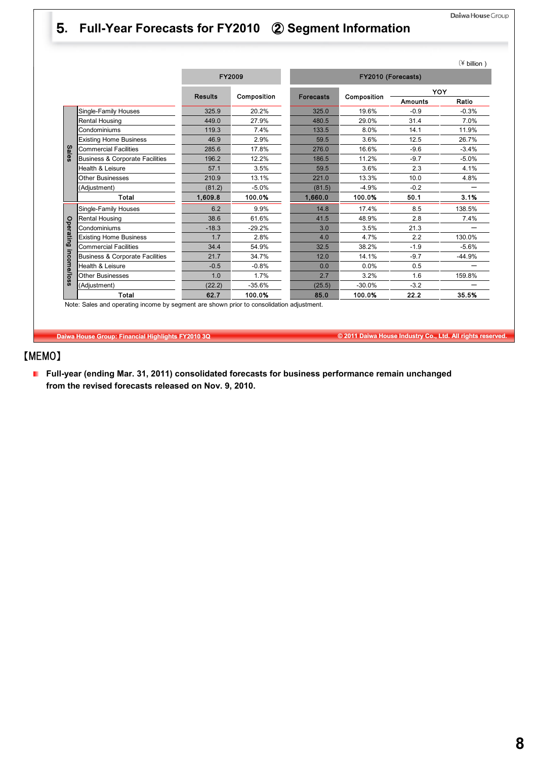# 5**. Full-Year Forecasts for FY2010** ② **Segment Information**

|             |                                            |                               |               |                    |             |                | $(*)$ billion ) |  |
|-------------|--------------------------------------------|-------------------------------|---------------|--------------------|-------------|----------------|-----------------|--|
|             |                                            |                               | <b>FY2009</b> | FY2010 (Forecasts) |             |                |                 |  |
|             |                                            | <b>Results</b><br>Composition |               | <b>Forecasts</b>   | Composition | YOY            |                 |  |
|             |                                            |                               |               |                    |             | <b>Amounts</b> | Ratio           |  |
|             | Single-Family Houses                       | 325.9                         | 20.2%         | 325.0              | 19.6%       | $-0.9$         | $-0.3%$         |  |
|             | Rental Housing                             | 449.0                         | 27.9%         | 480.5              | 29.0%       | 31.4           | 7.0%            |  |
|             | Condominiums                               | 119.3                         | 7.4%          | 133.5              | 8.0%        | 14.1           | 11.9%           |  |
|             | <b>Existing Home Business</b>              | 46.9                          | 2.9%          | 59.5               | 3.6%        | 12.5           | 26.7%           |  |
| Sales       | <b>Commercial Facilities</b>               | 285.6                         | 17.8%         | 276.0              | 16.6%       | $-9.6$         | $-3.4%$         |  |
|             | Business & Corporate Facilities            | 196.2                         | 12.2%         | 186.5              | 11.2%       | $-9.7$         | $-5.0%$         |  |
|             | Health & Leisure                           | 57.1                          | 3.5%          | 59.5               | 3.6%        | 2.3            | 4.1%            |  |
|             | <b>Other Businesses</b>                    | 210.9                         | 13.1%         | 221.0              | 13.3%       | 10.0           | 4.8%            |  |
|             | (Adjustment)                               | (81.2)                        | $-5.0%$       | (81.5)             | $-4.9%$     | $-0.2$         |                 |  |
|             | Total                                      | 1,609.8                       | 100.0%        | 1,660.0            | 100.0%      | 50.1           | 3.1%            |  |
|             | Single-Family Houses                       | 6.2                           | 9.9%          | 14.8               | 17.4%       | 8.5            | 138.5%          |  |
|             | Rental Housing                             | 38.6                          | 61.6%         | 41.5               | 48.9%       | 2.8            | 7.4%            |  |
|             | Condominiums                               | $-18.3$                       | $-29.2%$      | 3.0                | 3.5%        | 21.3           |                 |  |
| Operating   | <b>Existing Home Business</b>              | 1.7                           | 2.8%          | 4.0                | 4.7%        | 2.2            | 130.0%          |  |
|             | <b>Commercial Facilities</b>               | 34.4                          | 54.9%         | 32.5               | 38.2%       | $-1.9$         | $-5.6%$         |  |
|             | <b>Business &amp; Corporate Facilities</b> | 21.7                          | 34.7%         | 12.0               | 14.1%       | $-9.7$         | $-44.9%$        |  |
|             | Health & Leisure                           | $-0.5$                        | $-0.8%$       | 0.0                | 0.0%        | 0.5            |                 |  |
| income/loss | <b>Other Businesses</b>                    | 1.0                           | 1.7%          | 2.7                | 3.2%        | 1.6            | 159.8%          |  |
|             | (Adjustment)                               | (22.2)                        | $-35.6%$      | (25.5)             | $-30.0%$    | $-3.2$         |                 |  |
|             | Total                                      | 62.7                          | 100.0%        | 85.0               | 100.0%      | 22.2           | 35.5%           |  |

**Daiwa House Group: Financial Highlights FY2010 3Q © 2011 Daiwa House Industry Co., Ltd. All rights reserved.**

# 【MEMO】

**Full-year (ending Mar. 31, 2011) consolidated forecasts for business performance remain unchanged from the revised forecasts released on Nov. 9, 2010.**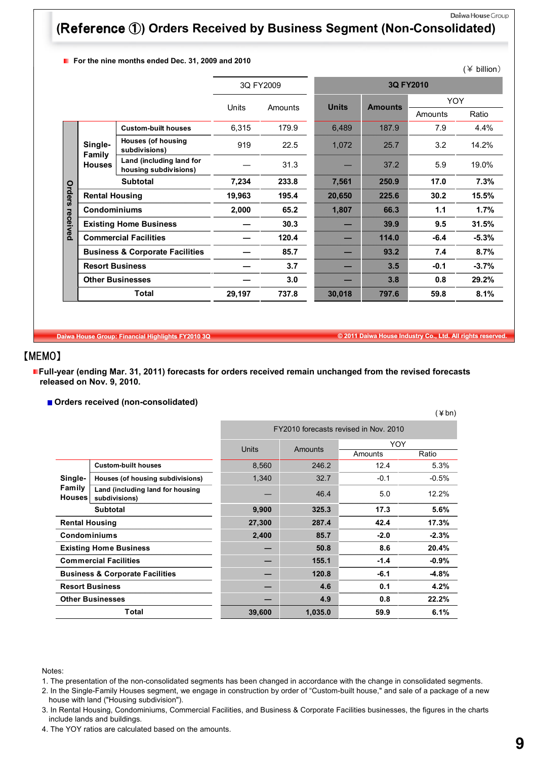# **(**Reference ①**) Orders Received by Business Segment (Non-Consolidated)**

**F** For the nine months ended Dec. 31, 2009 and 2010

|          |                        | 01 1110 111110 1110111110 011404 DOO. 0 1, 2000 4114 2010 |           |                  |              |                |            | $(\frac{1}{2})$ billion) |  |  |
|----------|------------------------|-----------------------------------------------------------|-----------|------------------|--------------|----------------|------------|--------------------------|--|--|
|          |                        |                                                           | 3Q FY2009 |                  | 3Q FY2010    |                |            |                          |  |  |
|          |                        |                                                           |           |                  | <b>Units</b> | <b>Amounts</b> | <b>YOY</b> |                          |  |  |
|          |                        |                                                           |           | Units<br>Amounts |              |                | Amounts    | Ratio                    |  |  |
|          |                        | <b>Custom-built houses</b>                                | 6,315     | 179.9            | 6,489        | 187.9          | 7.9        | 4.4%                     |  |  |
|          | Single-<br>Family      | <b>Houses (of housing</b><br>subdivisions)                | 919       | 22.5             | 1,072        | 25.7           | 3.2        | 14.2%                    |  |  |
|          | <b>Houses</b>          | Land (including land for<br>housing subdivisions)         |           | 31.3             |              | 37.2           | 5.9        | 19.0%                    |  |  |
|          |                        | <b>Subtotal</b>                                           | 7,234     | 233.8            | 7,561        | 250.9          | 17.0       | 7.3%                     |  |  |
| Orders   | <b>Rental Housing</b>  |                                                           | 19,963    | 195.4            | 20,650       | 225.6          | 30.2       | 15.5%                    |  |  |
|          |                        | <b>Condominiums</b>                                       |           | 65.2             | 1,807        | 66.3           | 1.1        | 1.7%                     |  |  |
| received |                        | <b>Existing Home Business</b>                             |           | 30.3             |              | 39.9           | 9.5        | 31.5%                    |  |  |
|          |                        | <b>Commercial Facilities</b>                              |           | 120.4            |              | 114.0          | $-6.4$     | $-5.3%$                  |  |  |
|          |                        | <b>Business &amp; Corporate Facilities</b>                |           | 85.7             |              | 93.2           | 7.4        | 8.7%                     |  |  |
|          | <b>Resort Business</b> |                                                           |           | 3.7              |              | 3.5            | $-0.1$     | $-3.7%$                  |  |  |
|          |                        | <b>Other Businesses</b>                                   |           | 3.0              |              | 3.8            | 0.8        | 29.2%                    |  |  |
|          |                        | Total                                                     |           | 737.8            | 30,018       | 797.6          | 59.8       | 8.1%                     |  |  |

**Daiwa House Group: Financial Highlights FY2010 3Q © 2011 Daiwa House Industry Co., Ltd. All rights reserved.**

# 【MEMO】

**Full-year (ending Mar. 31, 2011) forecasts for orders received remain unchanged from the revised forecasts released on Nov. 9, 2010.**

**Orders received (non-consolidated)**

|                                            |                                                   |                                       |         |            | (¥bn)   |
|--------------------------------------------|---------------------------------------------------|---------------------------------------|---------|------------|---------|
|                                            |                                                   | FY2010 forecasts revised in Nov. 2010 |         |            |         |
|                                            |                                                   | Units                                 | Amounts | <b>YOY</b> |         |
|                                            |                                                   |                                       |         | Amounts    | Ratio   |
|                                            | <b>Custom-built houses</b>                        | 8,560                                 | 246.2   | 12.4       | 5.3%    |
| Single-                                    | Houses (of housing subdivisions)                  | 1,340                                 | 32.7    | $-0.1$     | $-0.5%$ |
| Family<br><b>Houses</b>                    | Land (including land for housing<br>subdivisions) |                                       | 46.4    | 5.0        | 12.2%   |
|                                            | <b>Subtotal</b>                                   | 9,900                                 | 325.3   | 17.3       | 5.6%    |
| <b>Rental Housing</b>                      |                                                   | 27,300                                | 287.4   | 42.4       | 17.3%   |
| <b>Condominiums</b>                        |                                                   | 2,400                                 | 85.7    | $-2.0$     | $-2.3%$ |
|                                            | <b>Existing Home Business</b>                     |                                       | 50.8    | 8.6        | 20.4%   |
|                                            | <b>Commercial Facilities</b>                      |                                       | 155.1   | $-1.4$     | $-0.9%$ |
| <b>Business &amp; Corporate Facilities</b> |                                                   |                                       | 120.8   | $-6.1$     | $-4.8%$ |
| <b>Resort Business</b>                     |                                                   |                                       | 4.6     | 0.1        | 4.2%    |
|                                            | <b>Other Businesses</b>                           |                                       | 4.9     | 0.8        | 22.2%   |
|                                            | Total                                             | 39,600                                | 1,035.0 | 59.9       | 6.1%    |

Notes:

4. The YOY ratios are calculated based on the amounts.

<sup>1.</sup> The presentation of the non-consolidated segments has been changed in accordance with the change in consolidated segments.

<sup>2.</sup> In the Single-Family Houses segment, we engage in construction by order of "Custom-built house," and sale of a package of a new house with land ("Housing subdivision").

<sup>3.</sup> In Rental Housing, Condominiums, Commercial Facilities, and Business & Corporate Facilities businesses, the figures in the charts include lands and buildings.